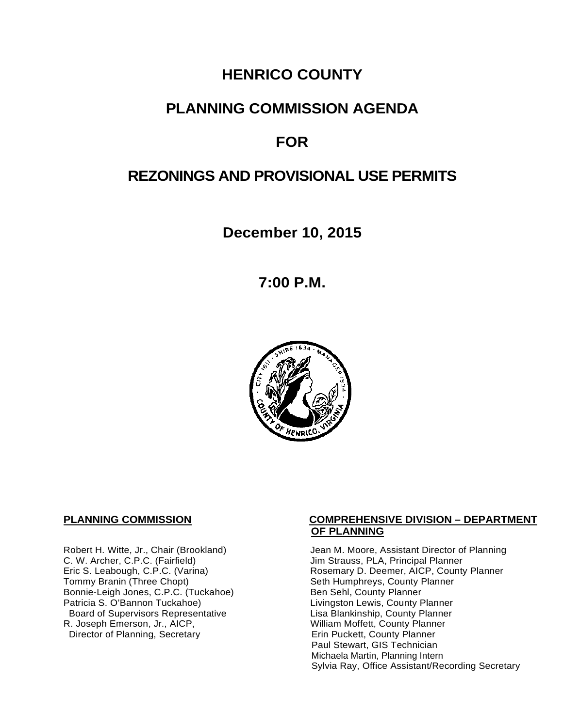# **HENRICO COUNTY**

# **PLANNING COMMISSION AGENDA**

# **FOR**

# **REZONINGS AND PROVISIONAL USE PERMITS**

**December 10, 2015**

**7:00 P.M.**



C. W. Archer, C.P.C. (Fairfield) and Summan Jim Strauss, PLA, Principal Planner<br>
Eric S. Leabough, C.P.C. (Varina) and Summan Rosemary D. Deemer, AICP, County Bonnie-Leigh Jones, C.P.C. (Tuckahoe)<br>Patricia S. O'Bannon Tuckahoe) Board of Supervisors Representative Fig. 2016 Lisa Blankinship, County Planner<br>Lisa Blankinship, County Planner (2008) Lisa Mortett, County Planner (2008) R. Joseph Emerson, Jr., AICP, William Moffett, County Planner<br>Director of Planning, Secretary **Network County Planner** Director of Planning, Secretary

#### **PLANNING COMMISSION COMPREHENSIVE DIVISION – DEPARTMENT OF PLANNING**

Robert H. Witte, Jr., Chair (Brookland) Jean M. Moore, Assistant Director of Planning<br>C. W. Archer, C.P.C. (Fairfield) Jim Strauss, PLA, Principal Planner Eric S. Leabough, C.P.C. (Varina) <br>Tommy Branin (Three Chopt) **Reading State State Seth Humphreys, County Planner** Commy Planner Seth Humphreys, County Planner<br>Ben Sehl, County Planner Livingston Lewis, County Planner Paul Stewart, GIS Technician Michaela Martin, Planning Intern Sylvia Ray, Office Assistant/Recording Secretary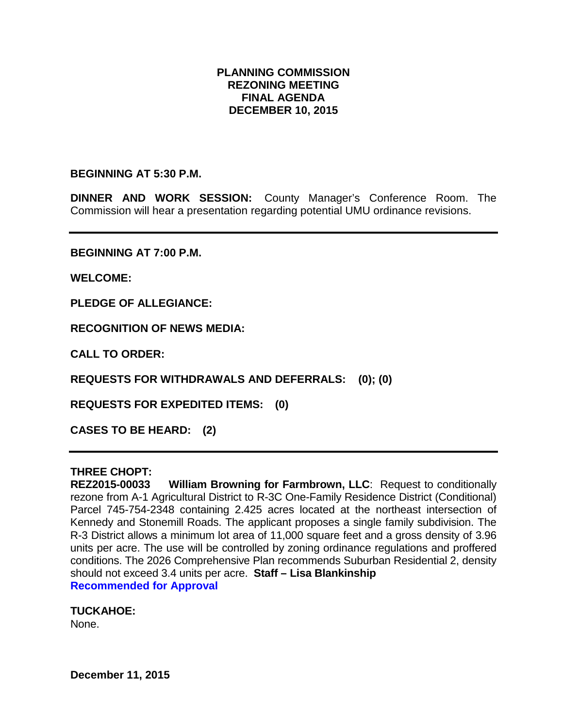#### **PLANNING COMMISSION REZONING MEETING FINAL AGENDA DECEMBER 10, 2015**

#### **BEGINNING AT 5:30 P.M.**

**DINNER AND WORK SESSION:** County Manager's Conference Room. The Commission will hear a presentation regarding potential UMU ordinance revisions.

**BEGINNING AT 7:00 P.M.**

**WELCOME:**

**PLEDGE OF ALLEGIANCE:**

**RECOGNITION OF NEWS MEDIA:**

**CALL TO ORDER:**

**REQUESTS FOR WITHDRAWALS AND DEFERRALS: (0); (0)**

**REQUESTS FOR EXPEDITED ITEMS: (0)**

**CASES TO BE HEARD: (2)**

# **THREE CHOPT:**

**William Browning for Farmbrown, LLC: Request to conditionally** rezone from A-1 Agricultural District to R-3C One-Family Residence District (Conditional) Parcel 745-754-2348 containing 2.425 acres located at the northeast intersection of Kennedy and Stonemill Roads. The applicant proposes a single family subdivision. The R-3 District allows a minimum lot area of 11,000 square feet and a gross density of 3.96 units per acre. The use will be controlled by zoning ordinance regulations and proffered conditions. The 2026 Comprehensive Plan recommends Suburban Residential 2, density should not exceed 3.4 units per acre. **Staff – Lisa Blankinship Recommended for Approval**

#### **TUCKAHOE:**

None.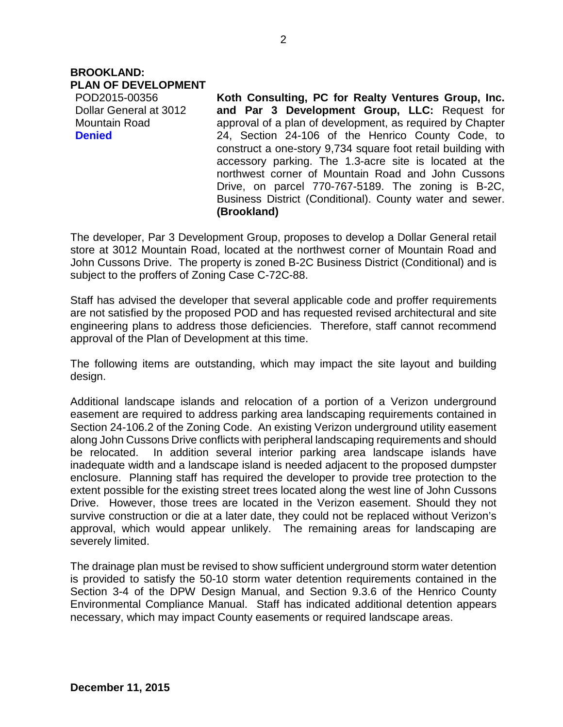#### **BROOKLAND: PLAN OF DEVELOPMENT**

POD2015-00356 Dollar General at 3012 Mountain Road **Denied**

**Koth Consulting, PC for Realty Ventures Group, Inc. and Par 3 Development Group, LLC:** Request for approval of a plan of development, as required by Chapter 24, Section 24-106 of the Henrico County Code, to construct a one-story 9,734 square foot retail building with accessory parking. The 1.3-acre site is located at the northwest corner of Mountain Road and John Cussons Drive, on parcel 770-767-5189. The zoning is B-2C, Business District (Conditional). County water and sewer. **(Brookland)**

The developer, Par 3 Development Group, proposes to develop a Dollar General retail store at 3012 Mountain Road, located at the northwest corner of Mountain Road and John Cussons Drive. The property is zoned B-2C Business District (Conditional) and is subject to the proffers of Zoning Case C-72C-88.

Staff has advised the developer that several applicable code and proffer requirements are not satisfied by the proposed POD and has requested revised architectural and site engineering plans to address those deficiencies. Therefore, staff cannot recommend approval of the Plan of Development at this time.

The following items are outstanding, which may impact the site layout and building design.

Additional landscape islands and relocation of a portion of a Verizon underground easement are required to address parking area landscaping requirements contained in Section 24-106.2 of the Zoning Code. An existing Verizon underground utility easement along John Cussons Drive conflicts with peripheral landscaping requirements and should be relocated. In addition several interior parking area landscape islands have inadequate width and a landscape island is needed adjacent to the proposed dumpster enclosure. Planning staff has required the developer to provide tree protection to the extent possible for the existing street trees located along the west line of John Cussons Drive. However, those trees are located in the Verizon easement. Should they not survive construction or die at a later date, they could not be replaced without Verizon's approval, which would appear unlikely. The remaining areas for landscaping are severely limited.

The drainage plan must be revised to show sufficient underground storm water detention is provided to satisfy the 50-10 storm water detention requirements contained in the Section 3-4 of the DPW Design Manual, and Section 9.3.6 of the Henrico County Environmental Compliance Manual. Staff has indicated additional detention appears necessary, which may impact County easements or required landscape areas.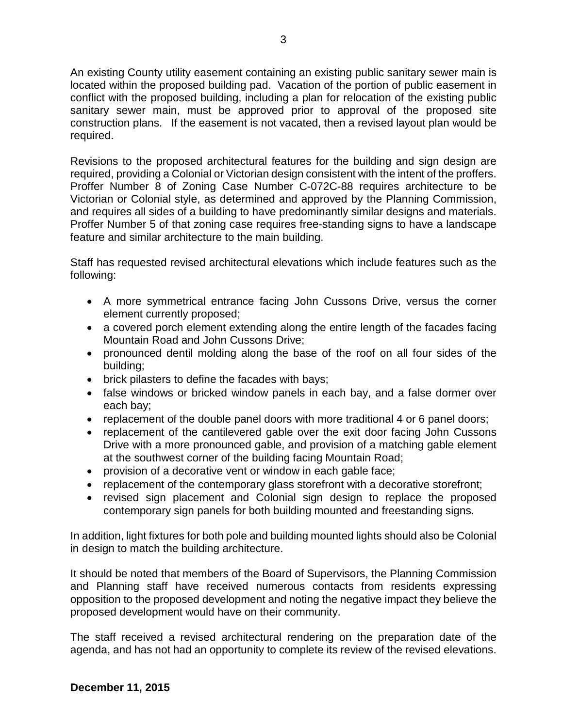An existing County utility easement containing an existing public sanitary sewer main is located within the proposed building pad. Vacation of the portion of public easement in conflict with the proposed building, including a plan for relocation of the existing public sanitary sewer main, must be approved prior to approval of the proposed site construction plans. If the easement is not vacated, then a revised layout plan would be required.

Revisions to the proposed architectural features for the building and sign design are required, providing a Colonial or Victorian design consistent with the intent of the proffers. Proffer Number 8 of Zoning Case Number C-072C-88 requires architecture to be Victorian or Colonial style, as determined and approved by the Planning Commission, and requires all sides of a building to have predominantly similar designs and materials. Proffer Number 5 of that zoning case requires free-standing signs to have a landscape feature and similar architecture to the main building.

Staff has requested revised architectural elevations which include features such as the following:

- A more symmetrical entrance facing John Cussons Drive, versus the corner element currently proposed;
- a covered porch element extending along the entire length of the facades facing Mountain Road and John Cussons Drive;
- pronounced dentil molding along the base of the roof on all four sides of the building;
- brick pilasters to define the facades with bays;
- false windows or bricked window panels in each bay, and a false dormer over each bay;
- replacement of the double panel doors with more traditional 4 or 6 panel doors;
- replacement of the cantilevered gable over the exit door facing John Cussons Drive with a more pronounced gable, and provision of a matching gable element at the southwest corner of the building facing Mountain Road;
- provision of a decorative vent or window in each gable face;
- replacement of the contemporary glass storefront with a decorative storefront;
- revised sign placement and Colonial sign design to replace the proposed contemporary sign panels for both building mounted and freestanding signs.

In addition, light fixtures for both pole and building mounted lights should also be Colonial in design to match the building architecture.

It should be noted that members of the Board of Supervisors, the Planning Commission and Planning staff have received numerous contacts from residents expressing opposition to the proposed development and noting the negative impact they believe the proposed development would have on their community.

The staff received a revised architectural rendering on the preparation date of the agenda, and has not had an opportunity to complete its review of the revised elevations.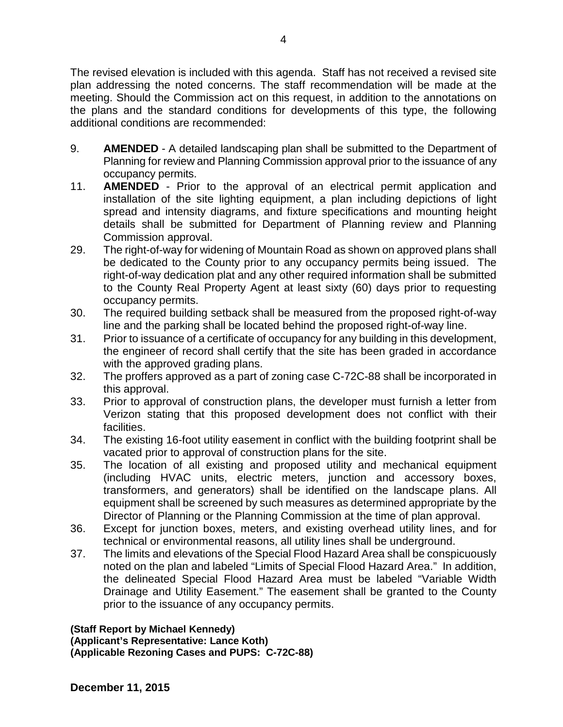The revised elevation is included with this agenda. Staff has not received a revised site plan addressing the noted concerns. The staff recommendation will be made at the meeting. Should the Commission act on this request, in addition to the annotations on the plans and the standard conditions for developments of this type, the following additional conditions are recommended:

- 9. **AMENDED** A detailed landscaping plan shall be submitted to the Department of Planning for review and Planning Commission approval prior to the issuance of any occupancy permits.
- 11. **AMENDED** Prior to the approval of an electrical permit application and installation of the site lighting equipment, a plan including depictions of light spread and intensity diagrams, and fixture specifications and mounting height details shall be submitted for Department of Planning review and Planning Commission approval.
- 29. The right-of-way for widening of Mountain Road as shown on approved plans shall be dedicated to the County prior to any occupancy permits being issued. The right-of-way dedication plat and any other required information shall be submitted to the County Real Property Agent at least sixty (60) days prior to requesting occupancy permits.
- 30. The required building setback shall be measured from the proposed right-of-way line and the parking shall be located behind the proposed right-of-way line.
- 31. Prior to issuance of a certificate of occupancy for any building in this development, the engineer of record shall certify that the site has been graded in accordance with the approved grading plans.
- 32. The proffers approved as a part of zoning case C-72C-88 shall be incorporated in this approval.
- 33. Prior to approval of construction plans, the developer must furnish a letter from Verizon stating that this proposed development does not conflict with their facilities.
- 34. The existing 16-foot utility easement in conflict with the building footprint shall be vacated prior to approval of construction plans for the site.
- 35. The location of all existing and proposed utility and mechanical equipment (including HVAC units, electric meters, junction and accessory boxes, transformers, and generators) shall be identified on the landscape plans. All equipment shall be screened by such measures as determined appropriate by the Director of Planning or the Planning Commission at the time of plan approval.
- 36. Except for junction boxes, meters, and existing overhead utility lines, and for technical or environmental reasons, all utility lines shall be underground.
- 37. The limits and elevations of the Special Flood Hazard Area shall be conspicuously noted on the plan and labeled "Limits of Special Flood Hazard Area." In addition, the delineated Special Flood Hazard Area must be labeled "Variable Width Drainage and Utility Easement." The easement shall be granted to the County prior to the issuance of any occupancy permits.

**(Staff Report by Michael Kennedy)**

**(Applicant's Representative: Lance Koth) (Applicable Rezoning Cases and PUPS: C-72C-88)**